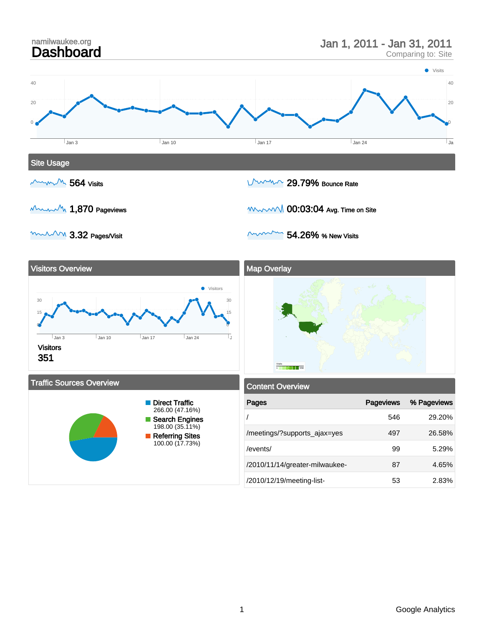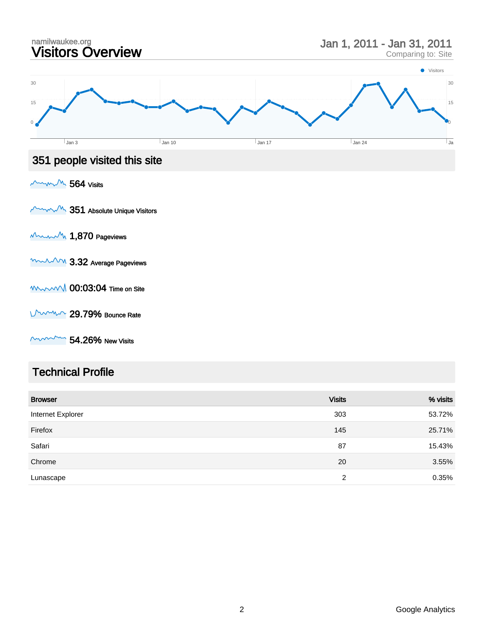

#### Technical Profile

| <b>Browser</b>    | <b>Visits</b> | % visits |
|-------------------|---------------|----------|
| Internet Explorer | 303           | 53.72%   |
| Firefox           | 145           | 25.71%   |
| Safari            | 87            | 15.43%   |
| Chrome            | 20            | 3.55%    |
| Lunascape         | 2             | 0.35%    |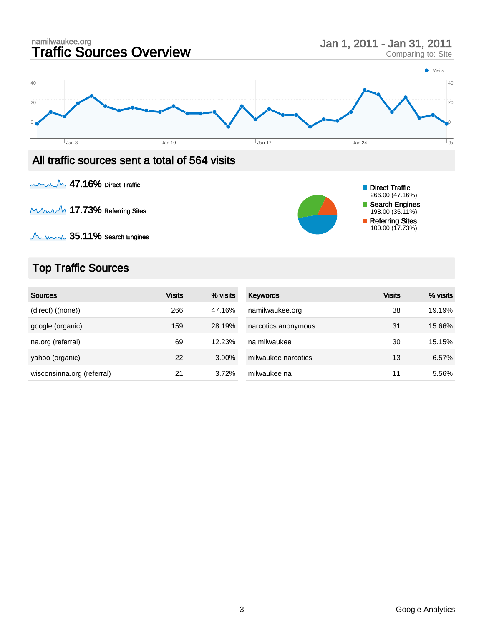

MMMM 17.73% Referring Sites

 $\textcolor{red}{\bigwedge_{\hspace{-.15cm}\sim\hspace{-.15cm} \cdots \hspace{-.15cm} \cdots} }$  35.11% Search Engines

#### Top Traffic Sources

| <b>Sources</b>             | <b>Visits</b> | % visits | Keywords            | Visits | % visits |
|----------------------------|---------------|----------|---------------------|--------|----------|
| (direct) ((none))          | 266           | 47.16%   | namilwaukee.org     | 38     | 19.19%   |
| google (organic)           | 159           | 28.19%   | narcotics anonymous | 31     | 15.66%   |
| na.org (referral)          | 69            | 12.23%   | na milwaukee        | 30     | 15.15%   |
| yahoo (organic)            | 22            | 3.90%    | milwaukee narcotics | 13     | 6.57%    |
| wisconsinna.org (referral) | 21            | 3.72%    | milwaukee na        | 11     | 5.56%    |

Search Engines 198.00 (35.11%) Referring Sites 100.00 (17.73%)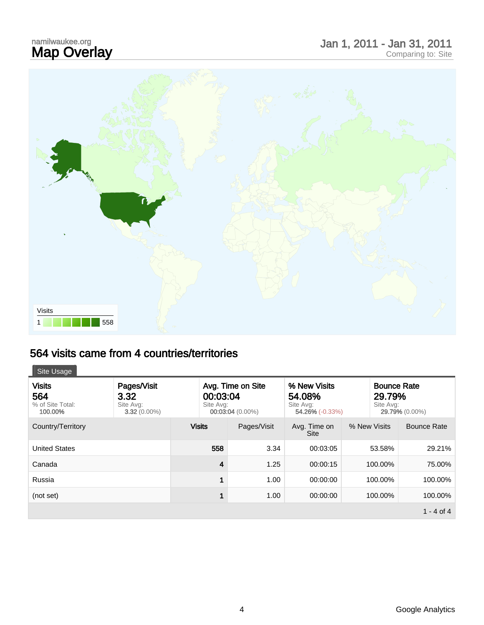# namilwaukee.org<br>**Map Overlay**

## Map Overlay Jan 1, 2011 - Jan 31, 2011 Comparing to: Site



#### 564 visits came from 4 countries/territories

| <b>Visits</b><br>564<br>% of Site Total:<br>100.00% | Pages/Visit<br>3.32<br>Site Avg:<br>$3.32(0.00\%)$ | 00:03:04<br>Site Avg: | Avg. Time on Site<br>00:03:04 (0.00%) | % New Visits<br>54.08%<br>Site Avg:<br>$54.26\%$ (-0.33%) |              | <b>Bounce Rate</b><br>29.79%<br>Site Avg: | 29.79% (0.00%)     |
|-----------------------------------------------------|----------------------------------------------------|-----------------------|---------------------------------------|-----------------------------------------------------------|--------------|-------------------------------------------|--------------------|
| Country/Territory                                   |                                                    | <b>Visits</b>         | Pages/Visit                           | Avg. Time on<br><b>Site</b>                               | % New Visits |                                           | <b>Bounce Rate</b> |
| <b>United States</b>                                |                                                    | 558                   | 3.34                                  | 00:03:05                                                  |              | 53.58%                                    | 29.21%             |
| Canada                                              |                                                    | 4                     | 1.25                                  | 00:00:15                                                  |              | 100.00%                                   | 75.00%             |
| Russia                                              |                                                    |                       | 1.00                                  | 00:00:00                                                  |              | 100.00%                                   | 100.00%            |
| (not set)                                           |                                                    |                       | 1.00                                  | 00:00:00                                                  |              | 100.00%                                   | 100.00%            |
|                                                     |                                                    |                       |                                       |                                                           |              |                                           | $1 - 4$ of 4       |